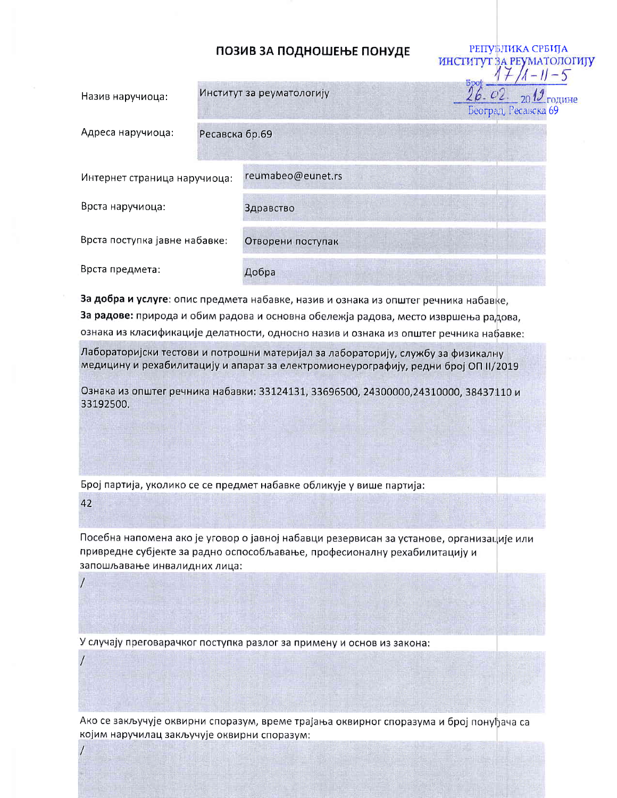## ПОЗИВ ЗА ПОДНОШЕЊЕ ПОНУДЕ

РЕПУБЛИКА СРБИЈА

ИНСТИТУТ ЗА РЕУМАТОЛОГИЈУ

| Назив наручиоца:              | Институт за реуматологију |                   | <b>bpot</b> | $20\frac{I}{I}$ године<br>Београд, Ресавска 69 |
|-------------------------------|---------------------------|-------------------|-------------|------------------------------------------------|
| Адреса наручиоца:             | Ресавска бр.69            |                   |             |                                                |
| Интернет страница наручиоца:  |                           | reumabeo@eunet.rs |             |                                                |
| Врста наручиоца:              |                           | Здравство         |             |                                                |
| Врста поступка јавне набавке: |                           | Отворени поступак |             |                                                |
| Врста предмета:               |                           | Добра             |             |                                                |

За добра и услуге: опис предмета набавке, назив и ознака из општег речника набавке, За радове: природа и обим радова и основна обележја радова, место извршења радова, ознака из класификације делатности, односно назив и ознака из општег речника набавке:

Лабораторијски тестови и потрошни материјал за лабораторију, службу за физикалну медицину и рехабилитацију и апарат за електромионеурографију, редни број ОП II/2019

Ознака из општег речника набавки: 33124131, 33696500, 24300000,24310000, 38437110 и 33192500.

Број партија, уколико се се предмет набавке обликује у више партија:

42

Посебна напомена ако је уговор о јавној набавци резервисан за установе, организације или привредне субјекте за радно оспособљавање, професионалну рехабилитацију и запошљавање инвалидних лица:

У случају преговарачког поступка разлог за примену и основ из закона:

Ако се закључује оквирни споразум, време трајања оквирног споразума и број понуђача са којим наручилац закључује оквирни споразум: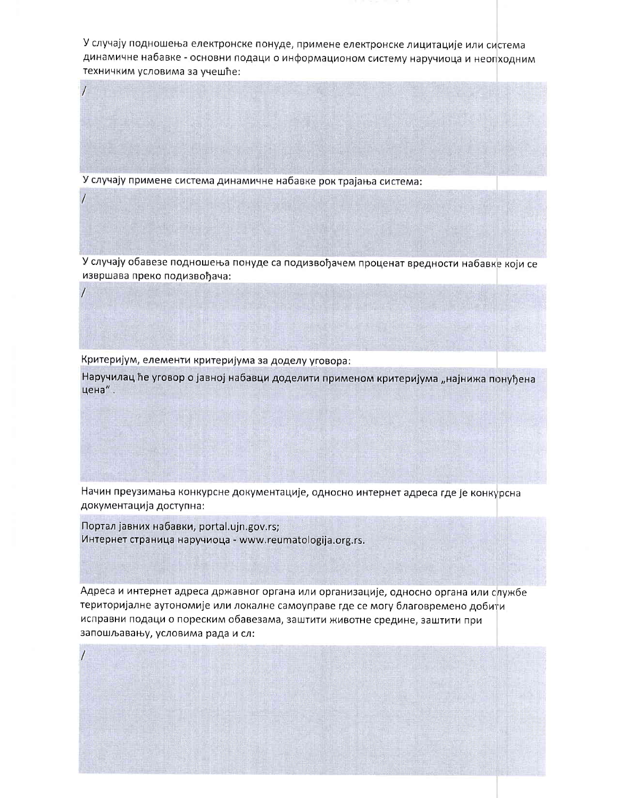У случају подношења електронске понуде, примене електронске лицитације или система динамичне набавке - основни подаци о информационом систему наручиоца и неопходним техничким условима за учешће:

У случају примене система динамичне набавке рок трајања система:

У случају обавезе подношења понуде са подизвођачем проценат вредности набавке који се извршава преко подизвођача:

Критеријум, елементи критеријума за доделу уговора:

Наручилац ће уговор о јавној набавци доделити применом критеријума "најнижа понуђена цена".

Начин преузимања конкурсне документације, односно интернет адреса где је конкурсна документација доступна:

Портал јавних набавки, portal.ujn.gov.rs; Интернет страница наручиоца - www.reumatologija.org.rs.

Адреса и интернет адреса државног органа или организације, односно органа или службе територијалне аутономије или локалне самоуправе где се могу благовремено добити исправни подаци о пореским обавезама, заштити животне средине, заштити при запошљавању, условима рада и сл: